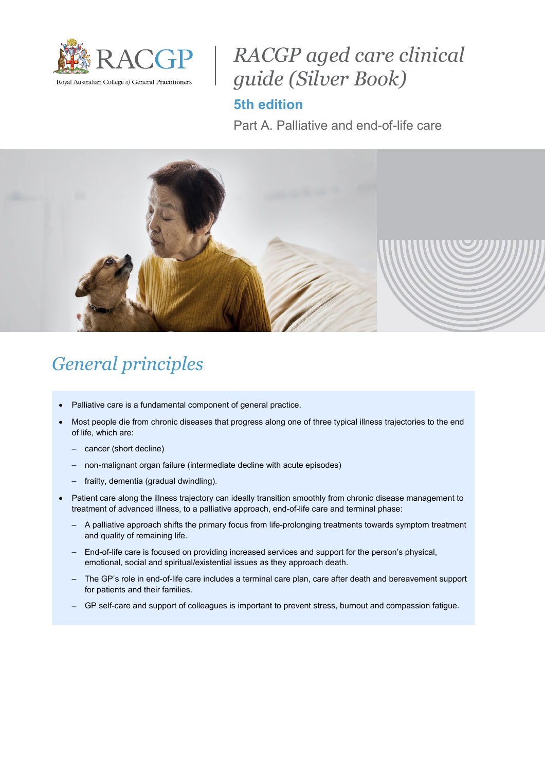

# *RACGP aged care clinical guide (Silver Book)*

## **5th edition**

Part A. Palliative and end-of-life care



# *General principles*

- Palliative care is a fundamental component of general practice.
- Most people die from chronic diseases that progress along one of three typical illness trajectories to the end of life, which are:
	- cancer (short decline)
	- non-malignant organ failure (intermediate decline with acute episodes)
	- frailty, dementia (gradual dwindling).
- Patient care along the illness trajectory can ideally transition smoothly from chronic disease management to treatment of advanced illness, to a palliative approach, end-of-life care and terminal phase:
	- A palliative approach shifts the primary focus from life-prolonging treatments towards symptom treatment and quality of remaining life.
	- End-of-life care is focused on providing increased services and support for the person's physical, emotional, social and spiritual/existential issues as they approach death.
	- The GP's role in end-of-life care includes a terminal care plan, care after death and bereavement support for patients and their families.
	- GP self-care and support of colleagues is important to prevent stress, burnout and compassion fatigue.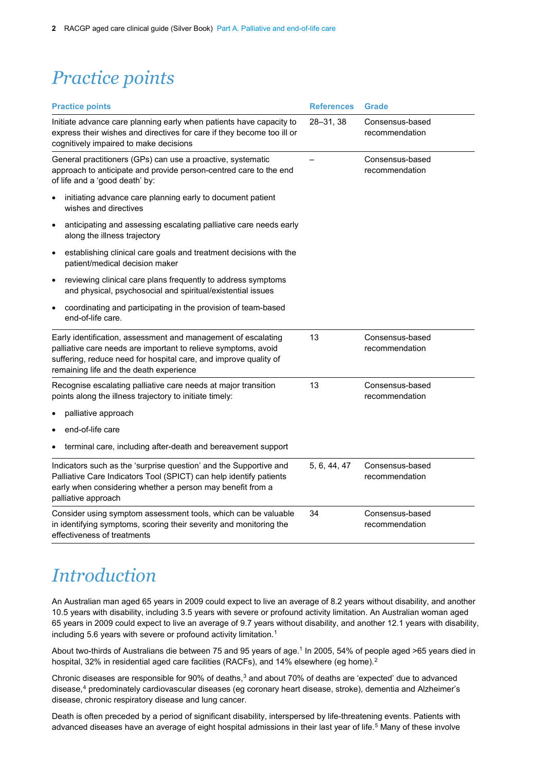# *Practice points*

| <b>Practice points</b>                                                                                                                                                                                                                         | <b>References</b> | <b>Grade</b>                      |
|------------------------------------------------------------------------------------------------------------------------------------------------------------------------------------------------------------------------------------------------|-------------------|-----------------------------------|
| Initiate advance care planning early when patients have capacity to<br>express their wishes and directives for care if they become too ill or<br>cognitively impaired to make decisions                                                        | 28-31, 38         | Consensus-based<br>recommendation |
| General practitioners (GPs) can use a proactive, systematic<br>approach to anticipate and provide person-centred care to the end<br>of life and a 'good death' by:                                                                             |                   | Consensus-based<br>recommendation |
| initiating advance care planning early to document patient<br>$\bullet$<br>wishes and directives                                                                                                                                               |                   |                                   |
| anticipating and assessing escalating palliative care needs early<br>$\bullet$<br>along the illness trajectory                                                                                                                                 |                   |                                   |
| establishing clinical care goals and treatment decisions with the<br>٠<br>patient/medical decision maker                                                                                                                                       |                   |                                   |
| reviewing clinical care plans frequently to address symptoms<br>$\bullet$<br>and physical, psychosocial and spiritual/existential issues                                                                                                       |                   |                                   |
| coordinating and participating in the provision of team-based<br>$\bullet$<br>end-of-life care.                                                                                                                                                |                   |                                   |
| Early identification, assessment and management of escalating<br>palliative care needs are important to relieve symptoms, avoid<br>suffering, reduce need for hospital care, and improve quality of<br>remaining life and the death experience | 13                | Consensus-based<br>recommendation |
| Recognise escalating palliative care needs at major transition<br>points along the illness trajectory to initiate timely:                                                                                                                      | 13                | Consensus-based<br>recommendation |
| palliative approach                                                                                                                                                                                                                            |                   |                                   |
| end-of-life care                                                                                                                                                                                                                               |                   |                                   |
| terminal care, including after-death and bereavement support                                                                                                                                                                                   |                   |                                   |
| Indicators such as the 'surprise question' and the Supportive and<br>Palliative Care Indicators Tool (SPICT) can help identify patients<br>early when considering whether a person may benefit from a<br>palliative approach                   | 5, 6, 44, 47      | Consensus-based<br>recommendation |
| Consider using symptom assessment tools, which can be valuable<br>in identifying symptoms, scoring their severity and monitoring the<br>effectiveness of treatments                                                                            | 34                | Consensus-based<br>recommendation |

# *Introduction*

An Australian man aged 65 years in 2009 could expect to live an average of 8.2 years without disability, and another 10.5 years with disability, including 3.5 years with severe or profound activity limitation. An Australian woman aged 65 years in 2009 could expect to live an average of 9.7 years without disability, and another 12.1 years with disability, including 5.6 years with severe or profound activity limitation.<sup>[1](#page-22-0)</sup>

<span id="page-1-0"></span>About two-thirds of Australians die between 75 and 95 years of age. [1](#page-1-0) In 2005, 54% of people aged >65 years died in hospital, 3[2](#page-22-1)% in residential aged care facilities (RACFs), and 14% elsewhere (eg home). $^{\rm 2}$ 

<span id="page-1-1"></span>Chronic diseases are responsible for 90% of deaths, $^3$  $^3$  and about 70% of deaths are 'expected' due to advanced disease, [4](#page-22-3) predominately cardiovascular diseases (eg coronary heart disease, stroke), dementia and Alzheimer's disease, chronic respiratory disease and lung cancer.

Death is often preceded by a period of significant disability, interspersed by life-threatening events. Patients with advanced diseases have an average of eight hospital admissions in their last year of life.<sup>[5](#page-22-4)</sup> Many of these involve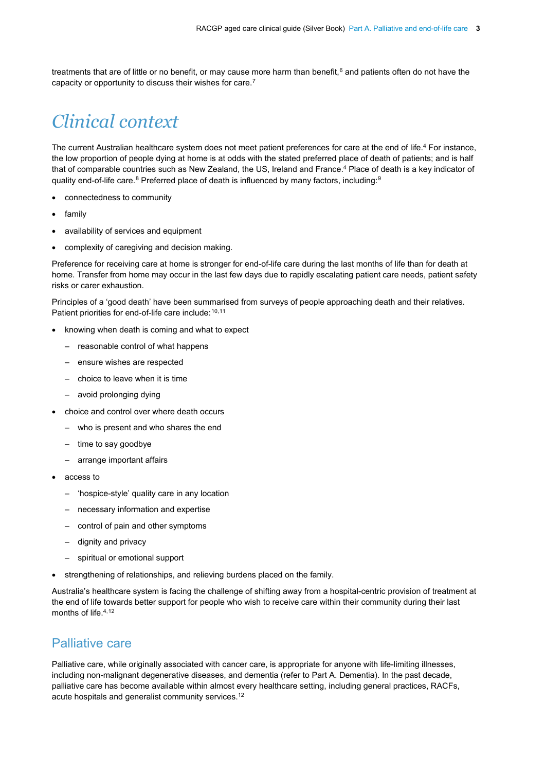treatments that are of little or no benefit, or may cause more harm than benefit,<sup>[6](#page-22-5)</sup> and patients often do not have the capacity or opportunity to discuss their wishes for care.[7](#page-22-6)

# *Clinical context*

The current Australian healthcare system does not meet patient preferences for care at the end of life[.4](#page-1-1) For instance, the low proportion of people dying at home is at odds with the stated preferred place of death of patients; and is half that of comparable countries such as New Zealand, the US, Ireland and France. [4](#page-1-1) Place of death is a key indicator of quality end-of-life care.<sup>[8](#page-22-7)</sup> Preferred place of death is influenced by many factors, including:<sup>[9](#page-22-8)</sup>

- connectedness to community
- family
- availability of services and equipment
- complexity of caregiving and decision making.

Preference for receiving care at home is stronger for end-of-life care during the last months of life than for death at home. Transfer from home may occur in the last few days due to rapidly escalating patient care needs, patient safety risks or carer exhaustion.

Principles of a 'good death' have been summarised from surveys of people approaching death and their relatives. Patient priorities for end-of-life care include: <sup>[10](#page-22-9),[11](#page-22-10)</sup>

- knowing when death is coming and what to expect
	- reasonable control of what happens
	- ensure wishes are respected
	- choice to leave when it is time
	- avoid prolonging dying
- choice and control over where death occurs
	- who is present and who shares the end
	- time to say goodbye
	- arrange important affairs
- access to
	- 'hospice-style' quality care in any location
	- necessary information and expertise
	- control of pain and other symptoms
	- dignity and privacy
	- spiritual or emotional support
- strengthening of relationships, and relieving burdens placed on the family.

<span id="page-2-0"></span>Australia's healthcare system is facing the challenge of shifting away from a hospital-centric provision of treatment at the end of life towards better support for people who wish to receive care within their community during their last months of life.<sup>4,[12](#page-22-11)</sup>

### Palliative care

Palliative care, while originally associated with cancer care, is appropriate for anyone with life-limiting illnesses, including non-malignant degenerative diseases, and dementia (refer to Part A. Dementia). In the past decade, palliative care has become available within almost every healthcare setting, including general practices, RACFs, acute hospitals and generalist community services.<sup>12</sup>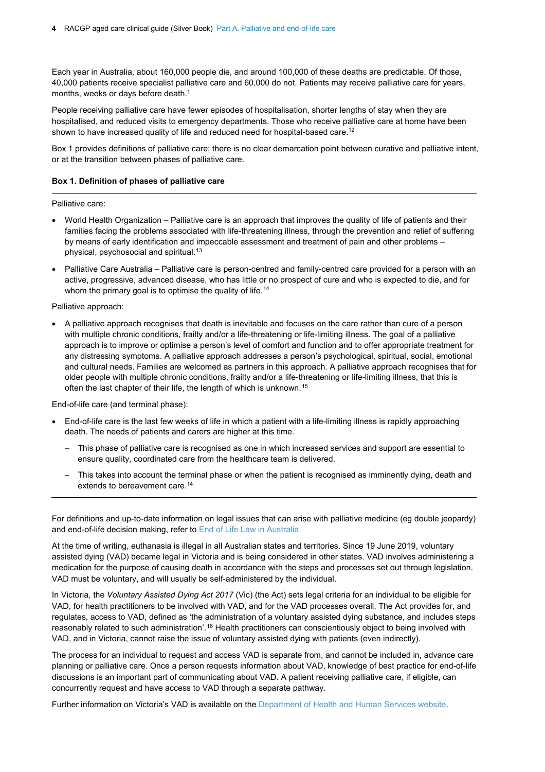**4** RACGP aged care clinical guide (Silver Book) Part A. Palliative and end-of-life care

Each year in Australia, about 160,000 people die, and around 100,000 of these deaths are predictable. Of those, 40,000 patients receive specialist palliative care and 60,000 do not. Patients may receive palliative care for years, months, weeks or days before death.<sup>1</sup>

People receiving palliative care have fewer episodes of hospitalisation, shorter lengths of stay when they are hospitalised, and reduced visits to emergency departments. Those who receive palliative care at home have been shown to have increased quality of life and reduced need for hospital-based care. [12](#page-2-0)

Box 1 provides definitions of palliative care; there is no clear demarcation point between curative and palliative intent, or at the transition between phases of palliative care.

#### **Box 1. Definition of phases of palliative care**

Palliative care:

- World Health Organization Palliative care is an approach that improves the quality of life of patients and their families facing the problems associated with life-threatening illness, through the prevention and relief of suffering by means of early identification and impeccable assessment and treatment of pain and other problems – physical, psychosocial and spiritual. [13](#page-22-12)
- Palliative Care Australia Palliative care is person-centred and family-centred care provided for a person with an active, progressive, advanced disease, who has little or no prospect of cure and who is expected to die, and for whom the primary goal is to optimise the quality of life. [14](#page-22-13)

<span id="page-3-0"></span>Palliative approach:

• A palliative approach recognises that death is inevitable and focuses on the care rather than cure of a person with multiple chronic conditions, frailty and/or a life-threatening or life-limiting illness. The goal of a palliative approach is to improve or optimise a person's level of comfort and function and to offer appropriate treatment for any distressing symptoms. A palliative approach addresses a person's psychological, spiritual, social, emotional and cultural needs. Families are welcomed as partners in this approach. A palliative approach recognises that for older people with multiple chronic conditions, frailty and/or a life-threatening or life-limiting illness, that this is often the last chapter of their life, the length of which is unknown.[15](#page-22-14)

End-of-life care (and terminal phase):

- End-of-life care is the last few weeks of life in which a patient with a life-limiting illness is rapidly approaching death. The needs of patients and carers are higher at this time.
	- This phase of palliative care is recognised as one in which increased services and support are essential to ensure quality, coordinated care from the healthcare team is delivered.
	- This takes into account the terminal phase or when the patient is recognised as imminently dying, death and extends to bereavement care. [14](#page-3-0)

For definitions and up-to-date information on legal issues that can arise with palliative medicine (eg double jeopardy) and end-of-life decision making, refer to [End of Life Law in Australia.](https://end-of-life.qut.edu.au/)

At the time of writing, euthanasia is illegal in all Australian states and territories. Since 19 June 2019, voluntary assisted dying (VAD) became legal in Victoria and is being considered in other states. VAD involves administering a medication for the purpose of causing death in accordance with the steps and processes set out through legislation. VAD must be voluntary, and will usually be self-administered by the individual.

In Victoria, the *Voluntary Assisted Dying Act 2017* (Vic) (the Act) sets legal criteria for an individual to be eligible for VAD, for health practitioners to be involved with VAD, and for the VAD processes overall. The Act provides for, and regulates, access to VAD, defined as 'the administration of a voluntary assisted dying substance, and includes steps reasonably related to such administration'.<sup>[16](#page-23-0)</sup> Health practitioners can conscientiously object to being involved with VAD, and in Victoria, cannot raise the issue of voluntary assisted dying with patients (even indirectly).

The process for an individual to request and access VAD is separate from, and cannot be included in, advance care planning or palliative care. Once a person requests information about VAD, knowledge of best practice for end-of-life discussions is an important part of communicating about VAD. A patient receiving palliative care, if eligible, can concurrently request and have access to VAD through a separate pathway.

Further information on Victoria's VAD is available on the [Department of Health and Human Services website.](https://www2.health.vic.gov.au/hospitals-and-health-services/patient-care/end-of-life-care/voluntary-assisted-dying/medical-practitioner-training)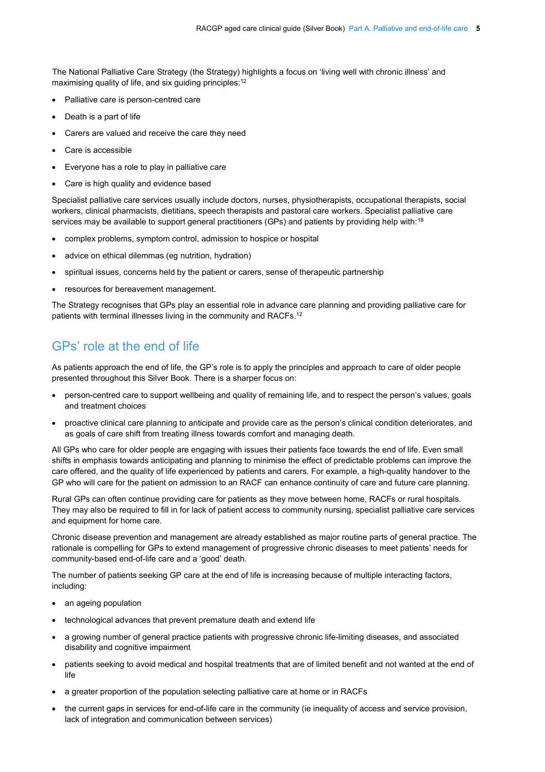The National Palliative Care Strategy [\(](#page-23-1)the Strategy) highlights a focus on 'living well with chronic illness' and maximising quality of life, and six guiding principles:<sup>12</sup>

- Palliative care is person-centred care
- Death is a part of life
- Carers are valued and receive the care they need
- Care is accessible
- Everyone has a role to play in palliative care
- Care is high quality and evidence based

Specialist palliative care services usually include doctors, nurses, physiotherapists, occupational therapists, social workers, clinical pharmacists, dietitians, speech therapists and pastoral care workers. Specialist palliative care services may be available to support general practitioners (GPs) and patients by providing help with:<sup>[18](#page-23-1)</sup>

- <span id="page-4-0"></span>• complex problems, symptom control, admission to hospice or hospital
- advice on ethical dilemmas (eg nutrition, hydration)
- spiritual issues, concerns held by the patient or carers, sense of therapeutic partnership
- resources for bereavement management.

The Strategy recognises that GPs play an essential role in advance care planning and providing palliative care for patients with terminal illnesses living in the community and RACFs.<sup>12</sup>

## GPs' role at the end of life

As patients approach the end of life, the GP's role is to apply the principles and approach to care of older people presented throughout this Silver Book. There is a sharper focus on:

- person-centred care to support wellbeing and quality of remaining life, and to respect the person's values, goals and treatment choices
- proactive clinical care planning to anticipate and provide care as the person's clinical condition deteriorates, and as goals of care shift from treating illness towards comfort and managing death.

All GPs who care for older people are engaging with issues their patients face towards the end of life. Even small shifts in emphasis towards anticipating and planning to minimise the effect of predictable problems can improve the care offered, and the quality of life experienced by patients and carers. For example, a high-quality handover to the GP who will care for the patient on admission to an RACF can enhance continuity of care and future care planning.

Rural GPs can often continue providing care for patients as they move between home, RACFs or rural hospitals. They may also be required to fill in for lack of patient access to community nursing, specialist palliative care services and equipment for home care.

Chronic disease prevention and management are already established as major routine parts of general practice. The rationale is compelling for GPs to extend management of progressive chronic diseases to meet patients' needs for community-based end-of-life care and a 'good' death.

The number of patients seeking GP care at the end of life is increasing because of multiple interacting factors, including:

- an ageing population
- technological advances that prevent premature death and extend life
- a growing number of general practice patients with progressive chronic life-limiting diseases, and associated disability and cognitive impairment
- patients seeking to avoid medical and hospital treatments that are of limited benefit and not wanted at the end of life
- a greater proportion of the population selecting palliative care at home or in RACFs
- the current gaps in services for end-of-life care in the community (ie inequality of access and service provision, lack of integration and communication between services)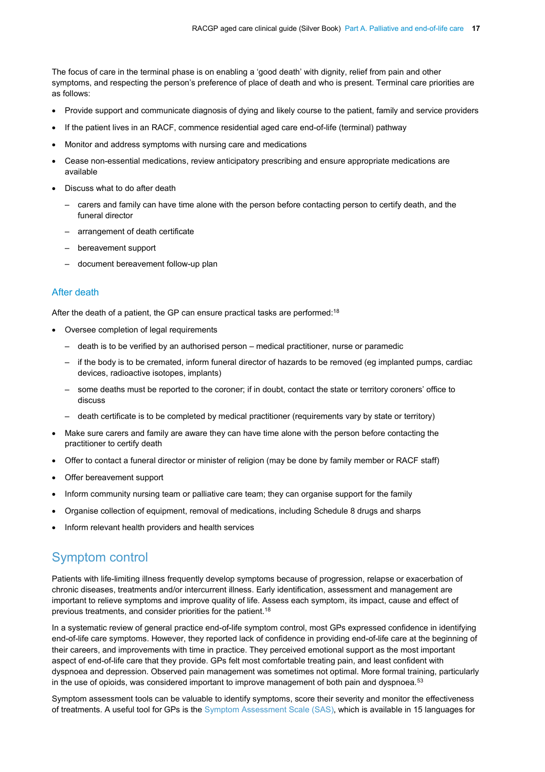The focus of care in the terminal phase is on enabling a 'good death' with dignity, relief from pain and other symptoms, and respecting the person's preference of place of death and who is present. Terminal care priorities are as follows:

- Provide support and communicate diagnosis of dying and likely course to the patient, family and service providers
- If the patient lives in an RACF, commence residential aged care end-of-life (terminal) pathway
- Monitor and address symptoms with nursing care and medications
- Cease non-essential medications, review anticipatory prescribing and ensure appropriate medications are available
- Discuss what to do after death
	- carers and family can have time alone with the person before contacting person to certify death, and the funeral director
	- arrangement of death certificate
	- bereavement support
	- document bereavement follow-up plan

#### After death

After the death of a patient, the GP can ensure practical tasks are performed:<sup>18</sup>

- Oversee completion of legal requirements
	- death is to be verified by an authorised person medical practitioner, nurse or paramedic
	- if the body is to be cremated, inform funeral director of hazards to be removed (eg implanted pumps, cardiac devices, radioactive isotopes, implants)
	- some deaths must be reported to the coroner; if in doubt, contact the state or territory coroners' office to discuss
	- death certificate is to be completed by medical practitioner (requirements vary by state or territory)
- Make sure carers and family are aware they can have time alone with the person before contacting the practitioner to certify death
- Offer to contact a funeral director or minister of religion (may be done by family member or RACF staff)
- Offer bereavement support
- Inform community nursing team or palliative care team; they can organise support for the family
- Organise collection of equipment, removal of medications, including Schedule 8 drugs and sharps
- Inform relevant health providers and health services

### Symptom control

Patients with life-limiting illness frequently develop symptoms because of progression, relapse or exacerbation of chronic diseases, treatments and/or intercurrent illness. Early identification, assessment and management are important to relieve symptoms and improve quality of life. Assess each symptom, its impact, cause and effect of previous treatments, and consider priorities for the patient.<sup>18</sup>

In a systematic review of general practice end-of-life symptom control, most GPs expressed confidence in identifying end-of-life care symptoms. However, they reported lack of confidence in providing end-of-life care at the beginning of their careers, and improvements with time in practice. They perceived emotional support as the most important aspect of end-of-life care that they provide. GPs felt most comfortable treating pain, and least confident with dyspnoea and depression. Observed pain management was sometimes not optimal. More formal training, particularly in the use of opioids, was considered important to improve management of both pain and dyspnoea.<sup>[53](#page-24-0)</sup>

Symptom assessment tools can be valuable to identify symptoms, score their severity and monitor the effectiveness of treatments. A useful tool for GPs is the [Symptom Assessment Scale \(SAS\),](https://ahsri.uow.edu.au/content/groups/public/@web/@chsd/documents/doc/uow177088.pdf) which is available in 15 languages for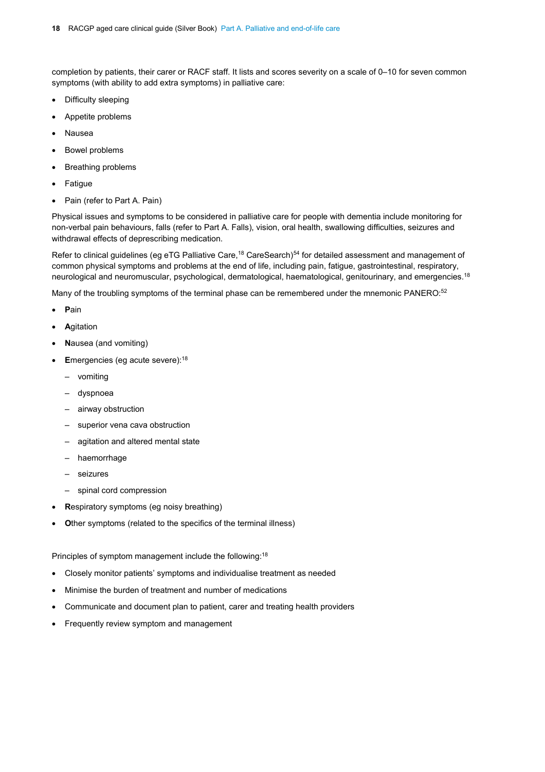completion by patients, their carer or RACF staff. It lists and scores severity on a scale of 0–10 for seven common symptoms (with ability to add extra symptoms) in palliative care:

- Difficulty sleeping
- Appetite problems
- Nausea
- Bowel problems
- Breathing problems
- Fatigue
- Pain (refer to Part A. Pain)

Physical issues and symptoms to be considered in palliative care for people with dementia include monitoring for non-verbal pain behaviours, falls (refer to Part A. Falls), vision, oral health, swallowing difficulties, seizures and withdrawal effects of deprescribing medication.

Refer to clinical guidelines (eg eTG Palliative Care,<sup>18</sup> CareSearch)<sup>54</sup> for detailed assessment and management of common physical symptoms and problems at the end of life, including pain, fatigue, gastrointestinal, respiratory, neurological and neuromuscular, psychological, dermatological, haematological, genitourinary, and emergencies[.18](#page-4-0)

Many of the troubling symptoms of the terminal phase can be remembered under the mnemonic PANERO:<sup>[52](#page-15-0)</sup>

- **P**ain
- **A**gitation
- **N**ausea (and vomiting)
- **E**mergencies (eg acute severe):<sup>18</sup>
	- vomiting
	- dyspnoea
	- airway obstruction
	- superior vena cava obstruction
	- agitation and altered mental state
	- haemorrhage
	- seizures
	- spinal cord compression
- **R**espiratory symptoms (eg noisy breathing)
- **Other symptoms (related to the specifics of the terminal illness)**

Principles of symptom management include the following: [18](#page-4-0)

- Closely monitor patients' symptoms and individualise treatment as needed
- Minimise the burden of treatment and number of medications
- Communicate and document plan to patient, carer and treating health providers
- Frequently review symptom and management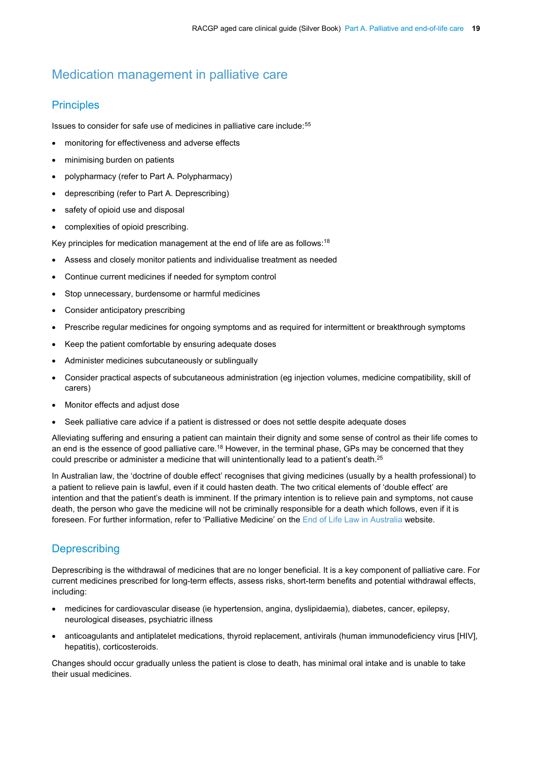## Medication management in palliative care

#### **Principles**

Issues to consider for safe use of medicines in palliative care include:<sup>[55](#page-24-2)</sup>

- monitoring for effectiveness and adverse effects
- minimising burden on patients
- polypharmacy (refer to Part A. Polypharmacy)
- deprescribing (refer to Part A. Deprescribing)
- safety of opioid use and disposal
- complexities of opioid prescribing.

Key principles for medication management at the end of life are as follows: $^{\rm 18}$  $^{\rm 18}$  $^{\rm 18}$ 

- Assess and closely monitor patients and individualise treatment as needed
- Continue current medicines if needed for symptom control
- Stop unnecessary, burdensome or harmful medicines
- Consider anticipatory prescribing
- Prescribe regular medicines for ongoing symptoms and as required for intermittent or breakthrough symptoms
- Keep the patient comfortable by ensuring adequate doses
- Administer medicines subcutaneously or sublingually
- Consider practical aspects of subcutaneous administration (eg injection volumes, medicine compatibility, skill of carers)
- Monitor effects and adjust dose
- Seek palliative care advice if a patient is distressed or does not settle despite adequate doses

Alleviating suffering and ensuring a patient can maintain their dignity and some sense of control as their life comes to an end is the essence of good palliative care.<sup>18</sup> However, in the terminal phase, GPs may be concerned that they could prescribe or administer a medicine that will unintentionally lead to a patient's death.<sup>25</sup>

In Australian law, the 'doctrine of double effect' recognises that giving medicines (usually by a health professional) to a patient to relieve pain is lawful, even if it could hasten death. The two critical elements of 'double effect' are intention and that the patient's death is imminent. If the primary intention is to relieve pain and symptoms, not cause death, the person who gave the medicine will not be criminally responsible for a death which follows, even if it is foreseen. For further information, refer to 'Palliative Medicine' on the End of [Life Law in Australia](https://end-of-life.qut.edu.au/) website.

### **Deprescribing**

Deprescribing is the withdrawal of medicines that are no longer beneficial. It is a key component of palliative care. For current medicines prescribed for long-term effects, assess risks, short-term benefits and potential withdrawal effects, including:

- medicines for cardiovascular disease (ie hypertension, angina, dyslipidaemia), diabetes, cancer, epilepsy, neurological diseases, psychiatric illness
- anticoagulants and antiplatelet medications, thyroid replacement, antivirals (human immunodeficiency virus [HIV], hepatitis), corticosteroids.

Changes should occur gradually unless the patient is close to death, has minimal oral intake and is unable to take their usual medicines.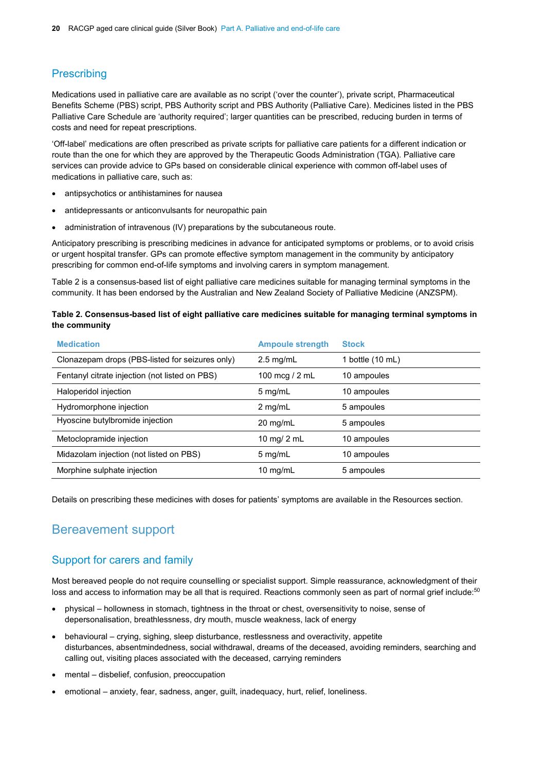#### **Prescribing**

Medications used in palliative care are available as no script ('over the counter'), private script, Pharmaceutical Benefits Scheme (PBS) script, PBS Authority script and PBS Authority (Palliative Care). Medicines listed in the PBS Palliative Care Schedule are 'authority required'; larger quantities can be prescribed, reducing burden in terms of costs and need for repeat prescriptions.

'Off-label' medications are often prescribed as private scripts for palliative care patients for a different indication or route than the one for which they are approved by the Therapeutic Goods Administration (TGA). Palliative care services can provide advice to GPs based on considerable clinical experience with common off-label uses of medications in palliative care, such as:

- antipsychotics or antihistamines for nausea
- antidepressants or anticonvulsants for neuropathic pain
- administration of intravenous (IV) preparations by the subcutaneous route.

Anticipatory prescribing is prescribing medicines in advance for anticipated symptoms or problems, or to avoid crisis or urgent hospital transfer. GPs can promote effective symptom management in the community by anticipatory prescribing for common end-of-life symptoms and involving carers in symptom management.

Table 2 is a consensus-based list of eight palliative care medicines suitable for managing terminal symptoms in the community. It has been endorsed by the Australian and New Zealand Society of Palliative Medicine (ANZSPM).

#### **Table 2. Consensus-based list of eight palliative care medicines suitable for managing terminal symptoms in the community**

| <b>Medication</b>                               | <b>Ampoule strength</b> | <b>Stock</b>     |
|-------------------------------------------------|-------------------------|------------------|
| Clonazepam drops (PBS-listed for seizures only) | $2.5 \text{ mg/mL}$     | 1 bottle (10 mL) |
| Fentanyl citrate injection (not listed on PBS)  | 100 mcg / 2 mL          | 10 ampoules      |
| Haloperidol injection                           | $5$ mg/mL               | 10 ampoules      |
| Hydromorphone injection                         | $2$ mg/mL               | 5 ampoules       |
| Hyoscine butylbromide injection                 | $20 \text{ mg/mL}$      | 5 ampoules       |
| Metoclopramide injection                        | 10 mg/ $2$ mL           | 10 ampoules      |
| Midazolam injection (not listed on PBS)         | $5$ mg/mL               | 10 ampoules      |
| Morphine sulphate injection                     | 10 $mg/mL$              | 5 ampoules       |

Details on prescribing these medicines with doses for patients' symptoms are available in the Resources section.

### Bereavement support

#### Support for carers and family

Most bereaved people do not require counselling or specialist support. Simple reassurance, acknowledgment of their loss and access to information may be all that is required. Reactions commonly seen as part of normal grief include:<sup>50</sup>

- physical hollowness in stomach, tightness in the throat or chest, oversensitivity to noise, sense of depersonalisation, breathlessness, dry mouth, muscle weakness, lack of energy
- behavioural crying, sighing, sleep disturbance, restlessness and overactivity, appetite disturbances, absentmindedness, social withdrawal, dreams of the deceased, avoiding reminders, searching and calling out, visiting places associated with the deceased, carrying reminders
- mental disbelief, confusion, preoccupation
- emotional anxiety, fear, sadness, anger, guilt, inadequacy, hurt, relief, loneliness.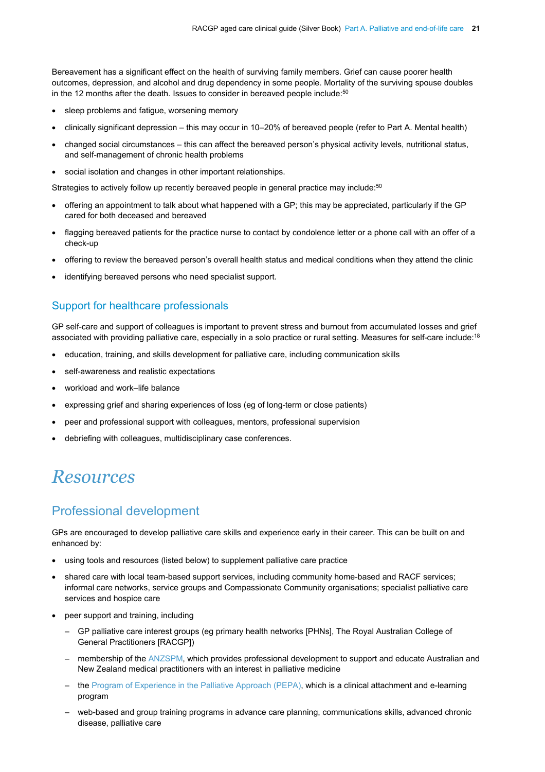Bereavement has a significant effect on the health of surviving family members. Grief can cause poorer health outcomes, depression, and alcohol and drug dependency in some people. Mortality of the surviving spouse doubles in the 12 months after the death. Issues to consider in bereaved people include:<sup>50</sup>

- sleep problems and fatique, worsening memory
- clinically significant depression this may occur in 10–20% of bereaved people (refer to Part A. Mental health)
- changed social circumstances this can affect the bereaved person's physical activity levels, nutritional status, and self-management of chronic health problems
- social isolation and changes in other important relationships.

Strategies to actively follow up recently bereaved people in general practice may include:<sup>[50](#page-14-0)</sup>

- offering an appointment to talk about what happened with a GP; this may be appreciated, particularly if the GP cared for both deceased and bereaved
- flagging bereaved patients for the practice nurse to contact by condolence letter or a phone call with an offer of a check-up
- offering to review the bereaved person's overall health status and medical conditions when they attend the clinic
- identifying bereaved persons who need specialist support.

#### Support for healthcare professionals

GP self-care and support of colleagues is important to prevent stress and burnout from accumulated losses and grief associated with providing palliative care, especially in a solo practice or rural setting. Measures for self-care include:<sup>18</sup>

- education, training, and skills development for palliative care, including communication skills
- self-awareness and realistic expectations
- workload and work–life balance
- expressing grief and sharing experiences of loss (eg of long-term or close patients)
- peer and professional support with colleagues, mentors, professional supervision
- debriefing with colleagues, multidisciplinary case conferences.

## *Resources*

### Professional development

GPs are encouraged to develop palliative care skills and experience early in their career. This can be built on and enhanced by:

- using tools and resources (listed below) to supplement palliative care practice
- shared care with local team-based support services, including community home-based and RACF services; informal care networks, service groups and Compassionate Community organisations; specialist palliative care services and hospice care
- peer support and training, including
	- GP palliative care interest groups (eg primary health networks [PHNs], The Royal Australian College of General Practitioners [RACGP])
	- membership of the [ANZSPM,](http://www.anzspm.org.au/c/anzspm) which provides professional development to support and educate Australian and New Zealand medical practitioners with an interest in palliative medicine
	- the [Program of Experience in the Palliative Approach \(PEPA\),](https://palliativecareeducation.com.au/login/index.php) which is a clinical attachment and e-learning program
	- web-based and group training programs in advance care planning, communications skills, advanced chronic disease, palliative care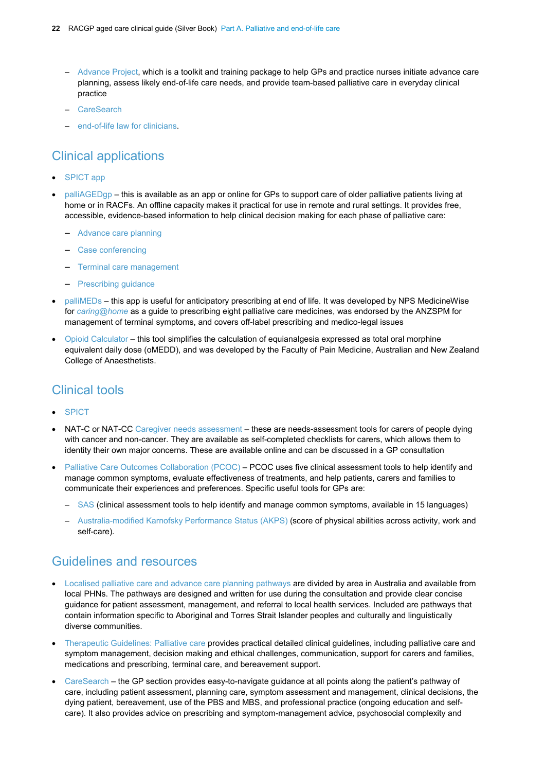- [Advance Project,](http://www.theadvanceproject.com.au/) which is a toolkit and training package to help GPs and practice nurses initiate advance care planning, assess likely end-of-life care needs, and provide team-based palliative care in everyday clinical practice
- [CareSearch](https://www.caresearch.com.au/caresearch/tabid/3648/Default.aspx)
- [end-of-life law for clinicians.](https://palliativecareeducation.com.au/course/index.php?categoryid=5&utm_source=HomeBanner&utm_medium=HomeBanner&utm_campaign=Online_Module)

## Clinical applications

- [SPICT](http://www.spict.org.uk/spictapp) app
- [palliAGEDgp](https://www.palliaged.com.au/tabid/4351/Default.aspx) this is available as an app or online for GPs to support care of older palliative patients living at home or in RACFs. An offline capacity makes it practical for use in remote and rural settings. It provides free, accessible, evidence-based information to help clinical decision making for each phase of palliative care:
	- [Advance care planning](http://apps.caresearch.com.au/palliAGED/Advance-care-planning)
	- [Case conferencing](http://apps.caresearch.com.au/palliAGED/Case-conferencing)
	- [Terminal care management](http://apps.caresearch.com.au/palliAGED/Recognising-dying)
	- [Prescribing guidance](http://apps.caresearch.com.au/palliAGED/Prescribing-guidance)
- [palliMEDs](http://www.caringathomeproject.com.au/tabid/5159/Default.aspx) this app is useful for anticipatory prescribing at end of life. It was developed by NPS MedicineWise for *[caring@home](http://www.caringathomeproject.com.au/tabid/5159/Default.aspx)* as a guide to prescribing eight palliative care medicines, was endorsed by the ANZSPM for management of terminal symptoms, and covers off-label prescribing and medico-legal issues
- [Opioid Calculator –](http://www.opioidcalculator.com.au/) this tool simplifies the calculation of equianalgesia expressed as total oral morphine equivalent daily dose (oMEDD), and was developed by the Faculty of Pain Medicine, Australian and New Zealand College of Anaesthetists.

## Clinical tools

- **[SPICT](https://www.spict.org.uk/)**
- NAT-C or NAT-CC [Caregiver needs assessment](http://www.caresearch.com.au/caresearch/tabid/3391/Default.aspx) these are needs-assessment tools for carers of people dying with cancer and non-cancer. They are available as self-completed checklists for carers, which allows them to identity their own major concerns. These are available online and can be discussed in a GP consultation
- [Palliative Care Outcomes Collaboration \(PCOC\)](https://ahsri.uow.edu.au/pcoc/index.html) PCOC uses five clinical assessment tools to help identify and manage common symptoms, evaluate effectiveness of treatments, and help patients, carers and families to communicate their experiences and preferences. Specific useful tools for GPs are:
	- [SAS](https://ahsri.uow.edu.au/content/groups/public/@web/@chsd/documents/doc/uow177088.pdf) (clinical assessment tools to help identify and manage common symptoms, available in 15 languages)
	- [Australia-modified Karnofsky Performance Status \(AKPS\)](https://ahsri.uow.edu.au/content/groups/public/@web/@chsd/@pcoc/documents/doc/uow129188.pdf) (score of physical abilities across activity, work and self-care).

### Guidelines and resources

- [Localised palliative care and advance care planning pathways](http://www.eldac.com.au/tabid/4957/Default.aspx) are divided by area in Australia and available from local PHNs. The pathways are designed and written for use during the consultation and provide clear concise guidance for patient assessment, management, and referral to local health services. Included are pathways that contain information specific to Aboriginal and Torres Strait Islander peoples and culturally and linguistically diverse communities.
- [Therapeutic Guidelines: Palliative care](https://tgldcdp.tg.org.au/) provides practical detailed clinical guidelines, including palliative care and symptom management, decision making and ethical challenges, communication, support for carers and families, medications and prescribing, terminal care, and bereavement support.
- [CareSearch](https://www.caresearch.com.au/caresearch/tabid/3648/Default.aspx) the GP section provides easy-to-navigate guidance at all points along the patient's pathway of care, including patient assessment, planning care, symptom assessment and management, clinical decisions, the dying patient, bereavement, use of the PBS and MBS, and professional practice (ongoing education and selfcare). It also provides advice on prescribing and symptom-management advice, psychosocial complexity and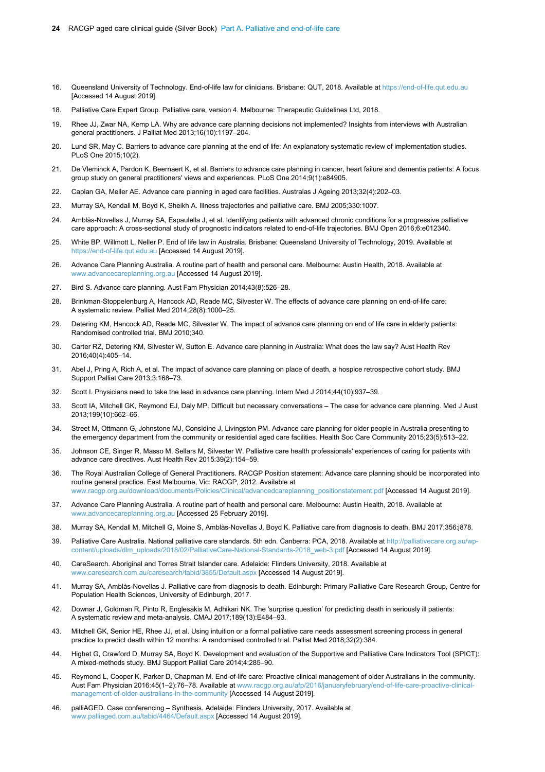4 RACGP aged care clinical quide (Silver Book) Part A. Palliative and end-of-life care

Each year in Australia, about 160,000 people die, and around 100,000 of these deaths are predictable. Of those, 40,000 patients receive specialist palliative care and 60,000 do not. Patients may receive palliative care for years, months, weeks or days before death.<sup>1</sup>

People receiving palliative care have fewer episodes of hospitalisation, shorter lengths of stay when they are hospitalised, and reduced visits to emergency departments. Those who receive palliative care at home have been shown to have increased quality of life and reduced need for hospital-based care.<sup>12</sup>

Box 1 provides definitions of palliative care; there is no clear demarcation point between curative and palliative intent, or at the transition between phases of palliative care.

#### Box 1. Definition of phases of palliative care

Palliative care:

- fi World Health Organization Palliative care is an approach that improves the quality of life of patients and their families facing the problems associated with life-threatening illness, through the prevention and relief of suffering by means of early identification and impeccable assessment and treatment of pain and other problems physical, psychosocial and spiritual.<sup>13</sup>
- fi Palliative Care Australia Palliative care is person-centred and family-centred care provided for a person with an active, progressive, advanced disease, who has little or no prospect of cure and who is expected to die, and for whom the primary goal is to optimise the quality of life.<sup>14</sup>

Palliative approach:

fi A palliative approach recognises that death is inevitable and focuses on the care rather than cure of a person with multiple chronic conditions, frailty and/or a life-threatening or life-limiting illness. The goal of a palliative approach is to improve or optimise a person's level of comfort and function and to offer appropriate treatment for any distressing symptoms. A palliative approach addresses a person's psychological, spiritual, social, emotional and cultural needs. Families are welcomed as partners in this approach. A palliative approach recognises that for older people with multiple chronic conditions, frailty and/or a life-threatening or life-limiting illness, that this is often the last chapter of their life, the length of which is unknown.<sup>15</sup>

End-of-life care (and terminal phase):

- fi End-of-life care is the last few weeks of life in which a patient with a life-limiting illness is rapidly approaching death. The needs of patients and carers are higher at this time.
	- This phase of palliative care is recognised as one in which increased services and support are essential to ensure quality, coordinated care from the healthcare team is delivered.
	- This takes into account the terminal phase or when the patient is recognised as imminently dying, death and extends to bereavement care.<sup>14</sup>

For definitions and up-to-date information on legal issues that can arise with palliative medicine (eg double jeopardy) and end-of-life decision making, refer to End of Life Law in Australia.

At the time of writing, euthanasia is illegal in all Australian states and territories. Since 19 June 2019, voluntary assisted dying (VAD) became legal in Victoria and is being considered in other states. VAD involves administering a medication for the purpose of causing death in accordance with the steps and processes set out through legislation. VAD must be voluntary, and will usually be self-administered by the individual.

In Victoria, the Voluntary Assisted Dying Act 2017 (Vic) (the Act) sets legal criteria for an individual to be eligible for VAD, for health practitioners to be involved with VAD, and for the VAD processes overall. The Act provides for, and regulates, access to VAD, defined as 'the administration of a voluntary assisted dying substance, and includes steps reasonably related to such administration'.<sup>16</sup> Health practitioners can conscientiously object to being involved with VAD, and in Victoria, cannot raise the issue of voluntary assisted dying with patients (even indirectly).

The process for an individual to request and access VAD is separate from, and cannot be included in, advance care planning or palliative care. Once a person requests information about VAD, knowledge of best practice for end-of-life discussions is an important part of communicating about VAD. A patient receiving palliative care, if eligible, can concurrently request and have access to VAD through a separate pathway.

Further information on Victoria's VAD is available on the Department of Health and Human Services website.